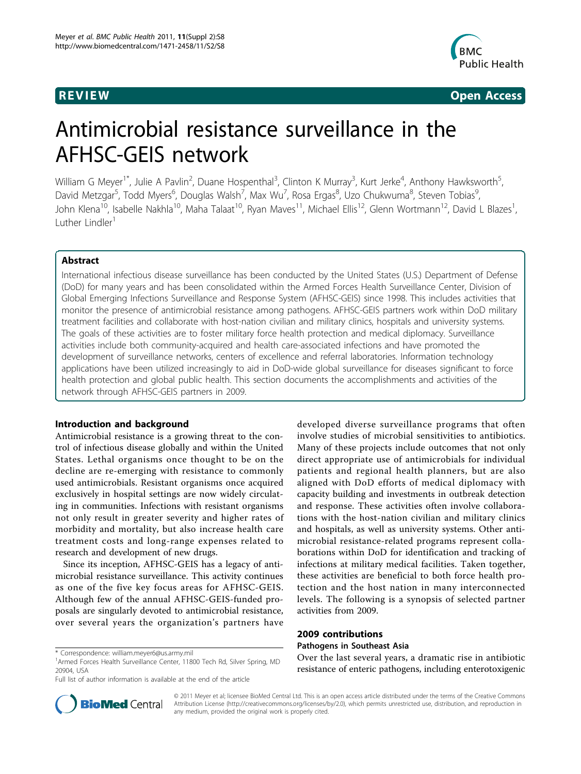

**REVIEW REVIEW CONSTRUCTER ACCESS** 

# Antimicrobial resistance surveillance in the AFHSC-GEIS network

William G Meyer<sup>1\*</sup>, Julie A Pavlin<sup>2</sup>, Duane Hospenthal<sup>3</sup>, Clinton K Murray<sup>3</sup>, Kurt Jerke<sup>4</sup>, Anthony Hawksworth<sup>5</sup> , David Metzgar<sup>5</sup>, Todd Myers<sup>6</sup>, Douglas Walsh<sup>7</sup>, Max Wu<sup>7</sup>, Rosa Ergas<sup>8</sup>, Uzo Chukwuma<sup>8</sup>, Steven Tobias<sup>9</sup> , John Klena<sup>10</sup>, Isabelle Nakhla<sup>10</sup>, Maha Talaat<sup>10</sup>, Ryan Maves<sup>11</sup>, Michael Ellis<sup>12</sup>, Glenn Wortmann<sup>12</sup>, David L Blazes<sup>1</sup>, , Luther Lindler<sup>1</sup>

# Abstract

International infectious disease surveillance has been conducted by the United States (U.S.) Department of Defense (DoD) for many years and has been consolidated within the Armed Forces Health Surveillance Center, Division of Global Emerging Infections Surveillance and Response System (AFHSC-GEIS) since 1998. This includes activities that monitor the presence of antimicrobial resistance among pathogens. AFHSC-GEIS partners work within DoD military treatment facilities and collaborate with host-nation civilian and military clinics, hospitals and university systems. The goals of these activities are to foster military force health protection and medical diplomacy. Surveillance activities include both community-acquired and health care-associated infections and have promoted the development of surveillance networks, centers of excellence and referral laboratories. Information technology applications have been utilized increasingly to aid in DoD-wide global surveillance for diseases significant to force health protection and global public health. This section documents the accomplishments and activities of the network through AFHSC-GEIS partners in 2009.

# Introduction and background

Antimicrobial resistance is a growing threat to the control of infectious disease globally and within the United States. Lethal organisms once thought to be on the decline are re-emerging with resistance to commonly used antimicrobials. Resistant organisms once acquired exclusively in hospital settings are now widely circulating in communities. Infections with resistant organisms not only result in greater severity and higher rates of morbidity and mortality, but also increase health care treatment costs and long-range expenses related to research and development of new drugs.

Since its inception, AFHSC-GEIS has a legacy of antimicrobial resistance surveillance. This activity continues as one of the five key focus areas for AFHSC-GEIS. Although few of the annual AFHSC-GEIS-funded proposals are singularly devoted to antimicrobial resistance, over several years the organization's partners have

Full list of author information is available at the end of the article

developed diverse surveillance programs that often involve studies of microbial sensitivities to antibiotics. Many of these projects include outcomes that not only direct appropriate use of antimicrobials for individual patients and regional health planners, but are also aligned with DoD efforts of medical diplomacy with capacity building and investments in outbreak detection and response. These activities often involve collaborations with the host-nation civilian and military clinics and hospitals, as well as university systems. Other antimicrobial resistance-related programs represent collaborations within DoD for identification and tracking of infections at military medical facilities. Taken together, these activities are beneficial to both force health protection and the host nation in many interconnected levels. The following is a synopsis of selected partner activities from 2009.

### 2009 contributions

# Pathogens in Southeast Asia

Over the last several years, a dramatic rise in antibiotic resistance of enteric pathogens, including enterotoxigenic



© 2011 Meyer et al; licensee BioMed Central Ltd. This is an open access article distributed under the terms of the Creative Commons Attribution License [\(http://creativecommons.org/licenses/by/2.0](http://creativecommons.org/licenses/by/2.0)), which permits unrestricted use, distribution, and reproduction in any medium, provided the original work is properly cited.

<sup>\*</sup> Correspondence: [william.meyer6@us.army.mil](mailto:william.meyer6@us.army.mil)

<sup>&</sup>lt;sup>1</sup> Armed Forces Health Surveillance Center, 11800 Tech Rd, Silver Spring, MD 20904, USA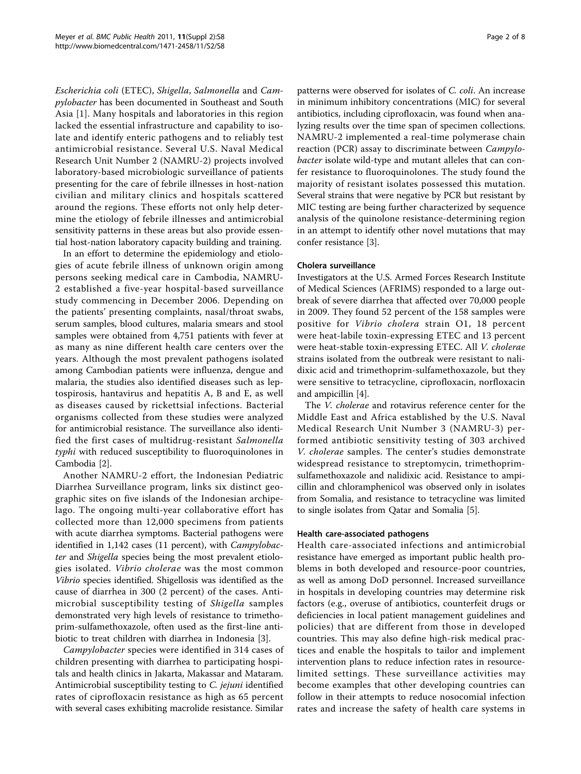Escherichia coli (ETEC), Shigella, Salmonella and Campylobacter has been documented in Southeast and South Asia [\[1](#page-6-0)]. Many hospitals and laboratories in this region lacked the essential infrastructure and capability to isolate and identify enteric pathogens and to reliably test antimicrobial resistance. Several U.S. Naval Medical Research Unit Number 2 (NAMRU-2) projects involved laboratory-based microbiologic surveillance of patients presenting for the care of febrile illnesses in host-nation civilian and military clinics and hospitals scattered around the regions. These efforts not only help determine the etiology of febrile illnesses and antimicrobial sensitivity patterns in these areas but also provide essential host-nation laboratory capacity building and training.

In an effort to determine the epidemiology and etiologies of acute febrile illness of unknown origin among persons seeking medical care in Cambodia, NAMRU-2 established a five-year hospital-based surveillance study commencing in December 2006. Depending on the patients' presenting complaints, nasal/throat swabs, serum samples, blood cultures, malaria smears and stool samples were obtained from 4,751 patients with fever at as many as nine different health care centers over the years. Although the most prevalent pathogens isolated among Cambodian patients were influenza, dengue and malaria, the studies also identified diseases such as leptospirosis, hantavirus and hepatitis A, B and E, as well as diseases caused by rickettsial infections. Bacterial organisms collected from these studies were analyzed for antimicrobial resistance. The surveillance also identified the first cases of multidrug-resistant Salmonella typhi with reduced susceptibility to fluoroquinolones in Cambodia [\[2](#page-7-0)].

Another NAMRU-2 effort, the Indonesian Pediatric Diarrhea Surveillance program, links six distinct geographic sites on five islands of the Indonesian archipelago. The ongoing multi-year collaborative effort has collected more than 12,000 specimens from patients with acute diarrhea symptoms. Bacterial pathogens were identified in 1,142 cases (11 percent), with *Campylobac*ter and Shigella species being the most prevalent etiologies isolated. Vibrio cholerae was the most common Vibrio species identified. Shigellosis was identified as the cause of diarrhea in 300 (2 percent) of the cases. Antimicrobial susceptibility testing of Shigella samples demonstrated very high levels of resistance to trimethoprim-sulfamethoxazole, often used as the first-line antibiotic to treat children with diarrhea in Indonesia [\[3](#page-7-0)].

Campylobacter species were identified in 314 cases of children presenting with diarrhea to participating hospitals and health clinics in Jakarta, Makassar and Mataram. Antimicrobial susceptibility testing to C. jejuni identified rates of ciprofloxacin resistance as high as 65 percent with several cases exhibiting macrolide resistance. Similar

patterns were observed for isolates of C. coli. An increase in minimum inhibitory concentrations (MIC) for several antibiotics, including ciprofloxacin, was found when analyzing results over the time span of specimen collections. NAMRU-2 implemented a real-time polymerase chain reaction (PCR) assay to discriminate between Campylobacter isolate wild-type and mutant alleles that can confer resistance to fluoroquinolones. The study found the majority of resistant isolates possessed this mutation. Several strains that were negative by PCR but resistant by MIC testing are being further characterized by sequence analysis of the quinolone resistance-determining region in an attempt to identify other novel mutations that may confer resistance [[3\]](#page-7-0).

### Cholera surveillance

Investigators at the U.S. Armed Forces Research Institute of Medical Sciences (AFRIMS) responded to a large outbreak of severe diarrhea that affected over 70,000 people in 2009. They found 52 percent of the 158 samples were positive for Vibrio cholera strain O1, 18 percent were heat-labile toxin-expressing ETEC and 13 percent were heat-stable toxin-expressing ETEC. All V. cholerae strains isolated from the outbreak were resistant to nalidixic acid and trimethoprim-sulfamethoxazole, but they were sensitive to tetracycline, ciprofloxacin, norfloxacin and ampicillin [\[4](#page-7-0)].

The V. cholerae and rotavirus reference center for the Middle East and Africa established by the U.S. Naval Medical Research Unit Number 3 (NAMRU-3) performed antibiotic sensitivity testing of 303 archived V. cholerae samples. The center's studies demonstrate widespread resistance to streptomycin, trimethoprimsulfamethoxazole and nalidixic acid. Resistance to ampicillin and chloramphenicol was observed only in isolates from Somalia, and resistance to tetracycline was limited to single isolates from Qatar and Somalia [[5\]](#page-7-0).

### Health care-associated pathogens

Health care-associated infections and antimicrobial resistance have emerged as important public health problems in both developed and resource-poor countries, as well as among DoD personnel. Increased surveillance in hospitals in developing countries may determine risk factors (e.g., overuse of antibiotics, counterfeit drugs or deficiencies in local patient management guidelines and policies) that are different from those in developed countries. This may also define high-risk medical practices and enable the hospitals to tailor and implement intervention plans to reduce infection rates in resourcelimited settings. These surveillance activities may become examples that other developing countries can follow in their attempts to reduce nosocomial infection rates and increase the safety of health care systems in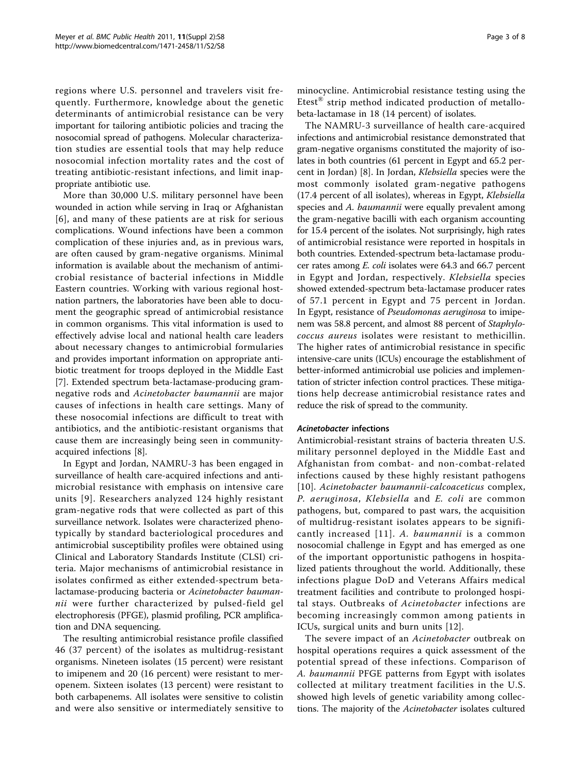regions where U.S. personnel and travelers visit frequently. Furthermore, knowledge about the genetic determinants of antimicrobial resistance can be very important for tailoring antibiotic policies and tracing the nosocomial spread of pathogens. Molecular characterization studies are essential tools that may help reduce nosocomial infection mortality rates and the cost of treating antibiotic-resistant infections, and limit inappropriate antibiotic use.

More than 30,000 U.S. military personnel have been wounded in action while serving in Iraq or Afghanistan [[6](#page-7-0)], and many of these patients are at risk for serious complications. Wound infections have been a common complication of these injuries and, as in previous wars, are often caused by gram-negative organisms. Minimal information is available about the mechanism of antimicrobial resistance of bacterial infections in Middle Eastern countries. Working with various regional hostnation partners, the laboratories have been able to document the geographic spread of antimicrobial resistance in common organisms. This vital information is used to effectively advise local and national health care leaders about necessary changes to antimicrobial formularies and provides important information on appropriate antibiotic treatment for troops deployed in the Middle East [[7\]](#page-7-0). Extended spectrum beta-lactamase-producing gramnegative rods and Acinetobacter baumannii are major causes of infections in health care settings. Many of these nosocomial infections are difficult to treat with antibiotics, and the antibiotic-resistant organisms that cause them are increasingly being seen in communityacquired infections [[8\]](#page-7-0).

In Egypt and Jordan, NAMRU-3 has been engaged in surveillance of health care-acquired infections and antimicrobial resistance with emphasis on intensive care units [[9\]](#page-7-0). Researchers analyzed 124 highly resistant gram-negative rods that were collected as part of this surveillance network. Isolates were characterized phenotypically by standard bacteriological procedures and antimicrobial susceptibility profiles were obtained using Clinical and Laboratory Standards Institute (CLSI) criteria. Major mechanisms of antimicrobial resistance in isolates confirmed as either extended-spectrum betalactamase-producing bacteria or Acinetobacter baumannii were further characterized by pulsed-field gel electrophoresis (PFGE), plasmid profiling, PCR amplification and DNA sequencing.

The resulting antimicrobial resistance profile classified 46 (37 percent) of the isolates as multidrug-resistant organisms. Nineteen isolates (15 percent) were resistant to imipenem and 20 (16 percent) were resistant to meropenem. Sixteen isolates (13 percent) were resistant to both carbapenems. All isolates were sensitive to colistin and were also sensitive or intermediately sensitive to minocycline. Antimicrobial resistance testing using the Etest® strip method indicated production of metallobeta-lactamase in 18 (14 percent) of isolates.

The NAMRU-3 surveillance of health care-acquired infections and antimicrobial resistance demonstrated that gram-negative organisms constituted the majority of isolates in both countries (61 percent in Egypt and 65.2 percent in Jordan) [\[8](#page-7-0)]. In Jordan, Klebsiella species were the most commonly isolated gram-negative pathogens (17.4 percent of all isolates), whereas in Egypt, Klebsiella species and A. baumannii were equally prevalent among the gram-negative bacilli with each organism accounting for 15.4 percent of the isolates. Not surprisingly, high rates of antimicrobial resistance were reported in hospitals in both countries. Extended-spectrum beta-lactamase producer rates among E. coli isolates were 64.3 and 66.7 percent in Egypt and Jordan, respectively. Klebsiella species showed extended-spectrum beta-lactamase producer rates of 57.1 percent in Egypt and 75 percent in Jordan. In Egypt, resistance of Pseudomonas aeruginosa to imipenem was 58.8 percent, and almost 88 percent of Staphylococcus aureus isolates were resistant to methicillin. The higher rates of antimicrobial resistance in specific intensive-care units (ICUs) encourage the establishment of better-informed antimicrobial use policies and implementation of stricter infection control practices. These mitigations help decrease antimicrobial resistance rates and reduce the risk of spread to the community.

### Acinetobacter infections

Antimicrobial-resistant strains of bacteria threaten U.S. military personnel deployed in the Middle East and Afghanistan from combat- and non-combat-related infections caused by these highly resistant pathogens [[10](#page-7-0)]. Acinetobacter baumannii-calcoaceticus complex, P. aeruginosa, Klebsiella and E. coli are common pathogens, but, compared to past wars, the acquisition of multidrug-resistant isolates appears to be signifi-cantly increased [[11](#page-7-0)]. A. baumannii is a common nosocomial challenge in Egypt and has emerged as one of the important opportunistic pathogens in hospitalized patients throughout the world. Additionally, these infections plague DoD and Veterans Affairs medical treatment facilities and contribute to prolonged hospital stays. Outbreaks of Acinetobacter infections are becoming increasingly common among patients in ICUs, surgical units and burn units [\[12](#page-7-0)].

The severe impact of an Acinetobacter outbreak on hospital operations requires a quick assessment of the potential spread of these infections. Comparison of A. baumannii PFGE patterns from Egypt with isolates collected at military treatment facilities in the U.S. showed high levels of genetic variability among collections. The majority of the Acinetobacter isolates cultured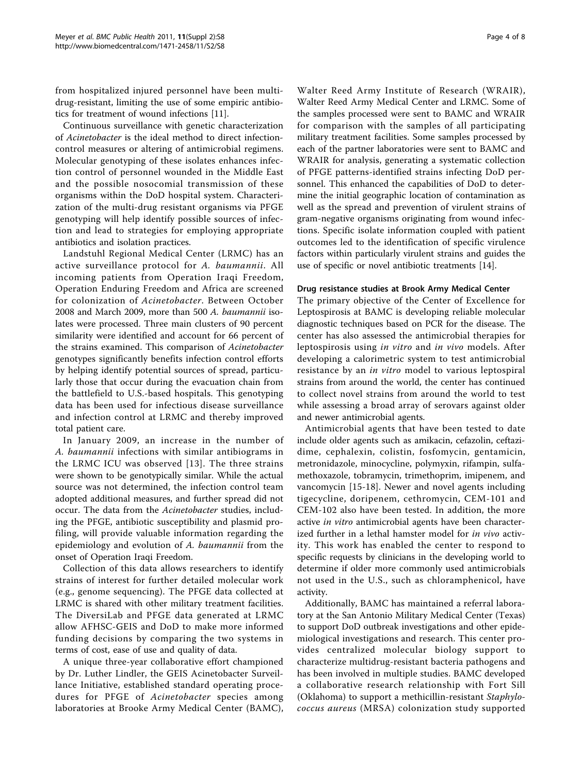from hospitalized injured personnel have been multidrug-resistant, limiting the use of some empiric antibiotics for treatment of wound infections [[11](#page-7-0)].

Continuous surveillance with genetic characterization of Acinetobacter is the ideal method to direct infectioncontrol measures or altering of antimicrobial regimens. Molecular genotyping of these isolates enhances infection control of personnel wounded in the Middle East and the possible nosocomial transmission of these organisms within the DoD hospital system. Characterization of the multi-drug resistant organisms via PFGE genotyping will help identify possible sources of infection and lead to strategies for employing appropriate antibiotics and isolation practices.

Landstuhl Regional Medical Center (LRMC) has an active surveillance protocol for A. baumannii. All incoming patients from Operation Iraqi Freedom, Operation Enduring Freedom and Africa are screened for colonization of Acinetobacter. Between October 2008 and March 2009, more than 500 A. baumannii isolates were processed. Three main clusters of 90 percent similarity were identified and account for 66 percent of the strains examined. This comparison of Acinetobacter genotypes significantly benefits infection control efforts by helping identify potential sources of spread, particularly those that occur during the evacuation chain from the battlefield to U.S.-based hospitals. This genotyping data has been used for infectious disease surveillance and infection control at LRMC and thereby improved total patient care.

In January 2009, an increase in the number of A. baumannii infections with similar antibiograms in the LRMC ICU was observed [[13\]](#page-7-0). The three strains were shown to be genotypically similar. While the actual source was not determined, the infection control team adopted additional measures, and further spread did not occur. The data from the Acinetobacter studies, including the PFGE, antibiotic susceptibility and plasmid profiling, will provide valuable information regarding the epidemiology and evolution of A. baumannii from the onset of Operation Iraqi Freedom.

Collection of this data allows researchers to identify strains of interest for further detailed molecular work (e.g., genome sequencing). The PFGE data collected at LRMC is shared with other military treatment facilities. The DiversiLab and PFGE data generated at LRMC allow AFHSC-GEIS and DoD to make more informed funding decisions by comparing the two systems in terms of cost, ease of use and quality of data.

A unique three-year collaborative effort championed by Dr. Luther Lindler, the GEIS Acinetobacter Surveillance Initiative, established standard operating procedures for PFGE of Acinetobacter species among laboratories at Brooke Army Medical Center (BAMC),

Walter Reed Army Institute of Research (WRAIR), Walter Reed Army Medical Center and LRMC. Some of the samples processed were sent to BAMC and WRAIR for comparison with the samples of all participating military treatment facilities. Some samples processed by each of the partner laboratories were sent to BAMC and WRAIR for analysis, generating a systematic collection of PFGE patterns-identified strains infecting DoD personnel. This enhanced the capabilities of DoD to determine the initial geographic location of contamination as well as the spread and prevention of virulent strains of gram-negative organisms originating from wound infections. Specific isolate information coupled with patient outcomes led to the identification of specific virulence factors within particularly virulent strains and guides the use of specific or novel antibiotic treatments [\[14](#page-7-0)].

#### Drug resistance studies at Brook Army Medical Center

The primary objective of the Center of Excellence for Leptospirosis at BAMC is developing reliable molecular diagnostic techniques based on PCR for the disease. The center has also assessed the antimicrobial therapies for leptospirosis using in vitro and in vivo models. After developing a calorimetric system to test antimicrobial resistance by an *in vitro* model to various leptospiral strains from around the world, the center has continued to collect novel strains from around the world to test while assessing a broad array of serovars against older and newer antimicrobial agents.

Antimicrobial agents that have been tested to date include older agents such as amikacin, cefazolin, ceftazidime, cephalexin, colistin, fosfomycin, gentamicin, metronidazole, minocycline, polymyxin, rifampin, sulfamethoxazole, tobramycin, trimethoprim, imipenem, and vancomycin [\[15](#page-7-0)-[18](#page-7-0)]. Newer and novel agents including tigecycline, doripenem, cethromycin, CEM-101 and CEM-102 also have been tested. In addition, the more active in vitro antimicrobial agents have been characterized further in a lethal hamster model for in vivo activity. This work has enabled the center to respond to specific requests by clinicians in the developing world to determine if older more commonly used antimicrobials not used in the U.S., such as chloramphenicol, have activity.

Additionally, BAMC has maintained a referral laboratory at the San Antonio Military Medical Center (Texas) to support DoD outbreak investigations and other epidemiological investigations and research. This center provides centralized molecular biology support to characterize multidrug-resistant bacteria pathogens and has been involved in multiple studies. BAMC developed a collaborative research relationship with Fort Sill (Oklahoma) to support a methicillin-resistant Staphylococcus aureus (MRSA) colonization study supported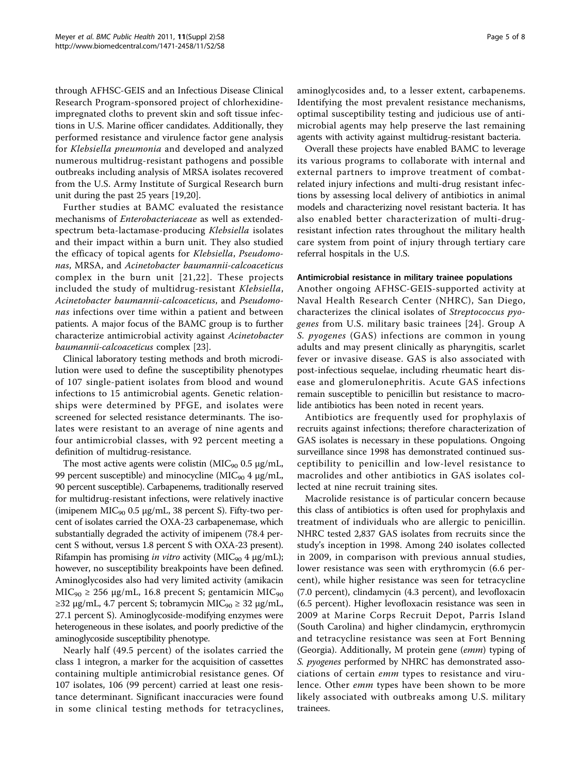through AFHSC-GEIS and an Infectious Disease Clinical Research Program-sponsored project of chlorhexidineimpregnated cloths to prevent skin and soft tissue infections in U.S. Marine officer candidates. Additionally, they performed resistance and virulence factor gene analysis for Klebsiella pneumonia and developed and analyzed numerous multidrug-resistant pathogens and possible outbreaks including analysis of MRSA isolates recovered from the U.S. Army Institute of Surgical Research burn unit during the past 25 years [[19,20\]](#page-7-0).

Further studies at BAMC evaluated the resistance mechanisms of Enterobacteriaceae as well as extendedspectrum beta-lactamase-producing Klebsiella isolates and their impact within a burn unit. They also studied the efficacy of topical agents for Klebsiella, Pseudomonas, MRSA, and Acinetobacter baumannii-calcoaceticus complex in the burn unit [[21](#page-7-0),[22\]](#page-7-0). These projects included the study of multidrug-resistant Klebsiella, Acinetobacter baumannii-calcoaceticus, and Pseudomonas infections over time within a patient and between patients. A major focus of the BAMC group is to further characterize antimicrobial activity against Acinetobacter baumannii-calcoaceticus complex [\[23](#page-7-0)].

Clinical laboratory testing methods and broth microdilution were used to define the susceptibility phenotypes of 107 single-patient isolates from blood and wound infections to 15 antimicrobial agents. Genetic relationships were determined by PFGE, and isolates were screened for selected resistance determinants. The isolates were resistant to an average of nine agents and four antimicrobial classes, with 92 percent meeting a definition of multidrug-resistance.

The most active agents were colistin ( $MIC<sub>90</sub> 0.5 \mu g/mL$ , 99 percent susceptible) and minocycline ( $MIC<sub>90</sub> 4 \mu g/mL$ , 90 percent susceptible). Carbapenems, traditionally reserved for multidrug-resistant infections, were relatively inactive (imipenem  $MIC<sub>90</sub> 0.5 \mu g/mL$ , 38 percent S). Fifty-two percent of isolates carried the OXA-23 carbapenemase, which substantially degraded the activity of imipenem (78.4 percent S without, versus 1.8 percent S with OXA-23 present). Rifampin has promising in vitro activity ( $MIC<sub>90</sub> 4 µg/mL$ ); however, no susceptibility breakpoints have been defined. Aminoglycosides also had very limited activity (amikacin  $MIC<sub>90</sub> \ge 256 \mu g/mL$ , 16.8 precent S; gentamicin MIC<sub>90</sub>  $\geq$ 32 µg/mL, 4.7 percent S; tobramycin MIC<sub>90</sub>  $\geq$  32 µg/mL, 27.1 percent S). Aminoglycoside-modifying enzymes were heterogeneous in these isolates, and poorly predictive of the aminoglycoside susceptibility phenotype.

Nearly half (49.5 percent) of the isolates carried the class 1 integron, a marker for the acquisition of cassettes containing multiple antimicrobial resistance genes. Of 107 isolates, 106 (99 percent) carried at least one resistance determinant. Significant inaccuracies were found in some clinical testing methods for tetracyclines, aminoglycosides and, to a lesser extent, carbapenems. Identifying the most prevalent resistance mechanisms, optimal susceptibility testing and judicious use of antimicrobial agents may help preserve the last remaining agents with activity against multidrug-resistant bacteria.

Overall these projects have enabled BAMC to leverage its various programs to collaborate with internal and external partners to improve treatment of combatrelated injury infections and multi-drug resistant infections by assessing local delivery of antibiotics in animal models and characterizing novel resistant bacteria. It has also enabled better characterization of multi-drugresistant infection rates throughout the military health care system from point of injury through tertiary care referral hospitals in the U.S.

### Antimicrobial resistance in military trainee populations

Another ongoing AFHSC-GEIS-supported activity at Naval Health Research Center (NHRC), San Diego, characterizes the clinical isolates of Streptococcus pyogenes from U.S. military basic trainees [[24\]](#page-7-0). Group A S. pyogenes (GAS) infections are common in young adults and may present clinically as pharyngitis, scarlet fever or invasive disease. GAS is also associated with post-infectious sequelae, including rheumatic heart disease and glomerulonephritis. Acute GAS infections remain susceptible to penicillin but resistance to macrolide antibiotics has been noted in recent years.

Antibiotics are frequently used for prophylaxis of recruits against infections; therefore characterization of GAS isolates is necessary in these populations. Ongoing surveillance since 1998 has demonstrated continued susceptibility to penicillin and low-level resistance to macrolides and other antibiotics in GAS isolates collected at nine recruit training sites.

Macrolide resistance is of particular concern because this class of antibiotics is often used for prophylaxis and treatment of individuals who are allergic to penicillin. NHRC tested 2,837 GAS isolates from recruits since the study's inception in 1998. Among 240 isolates collected in 2009, in comparison with previous annual studies, lower resistance was seen with erythromycin (6.6 percent), while higher resistance was seen for tetracycline (7.0 percent), clindamycin (4.3 percent), and levofloxacin (6.5 percent). Higher levofloxacin resistance was seen in 2009 at Marine Corps Recruit Depot, Parris Island (South Carolina) and higher clindamycin, erythromycin and tetracycline resistance was seen at Fort Benning (Georgia). Additionally, M protein gene (emm) typing of S. pyogenes performed by NHRC has demonstrated associations of certain emm types to resistance and virulence. Other *emm* types have been shown to be more likely associated with outbreaks among U.S. military trainees.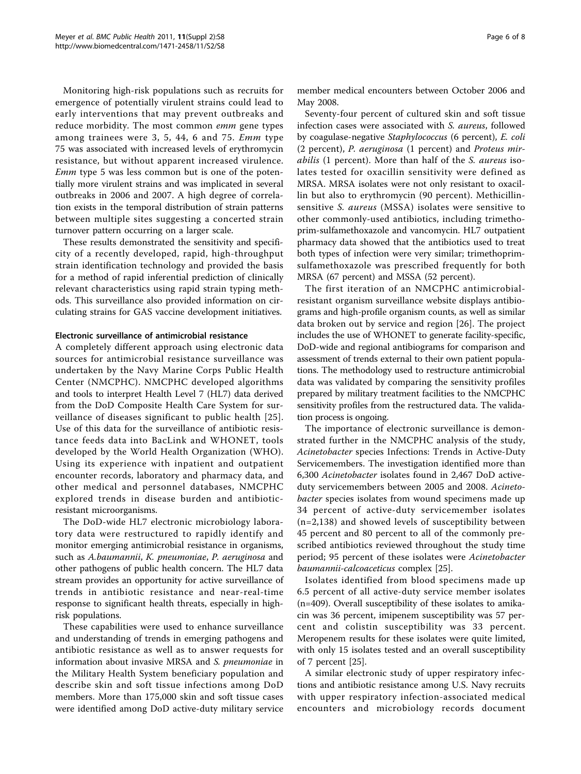Monitoring high-risk populations such as recruits for emergence of potentially virulent strains could lead to early interventions that may prevent outbreaks and reduce morbidity. The most common emm gene types among trainees were 3, 5, 44, 6 and 75. Emm type 75 was associated with increased levels of erythromycin resistance, but without apparent increased virulence. Emm type 5 was less common but is one of the potentially more virulent strains and was implicated in several outbreaks in 2006 and 2007. A high degree of correlation exists in the temporal distribution of strain patterns between multiple sites suggesting a concerted strain turnover pattern occurring on a larger scale.

These results demonstrated the sensitivity and specificity of a recently developed, rapid, high-throughput strain identification technology and provided the basis for a method of rapid inferential prediction of clinically relevant characteristics using rapid strain typing methods. This surveillance also provided information on circulating strains for GAS vaccine development initiatives.

### Electronic surveillance of antimicrobial resistance

A completely different approach using electronic data sources for antimicrobial resistance surveillance was undertaken by the Navy Marine Corps Public Health Center (NMCPHC). NMCPHC developed algorithms and tools to interpret Health Level 7 (HL7) data derived from the DoD Composite Health Care System for surveillance of diseases significant to public health [[25\]](#page-7-0). Use of this data for the surveillance of antibiotic resistance feeds data into BacLink and WHONET, tools developed by the World Health Organization (WHO). Using its experience with inpatient and outpatient encounter records, laboratory and pharmacy data, and other medical and personnel databases, NMCPHC explored trends in disease burden and antibioticresistant microorganisms.

The DoD-wide HL7 electronic microbiology laboratory data were restructured to rapidly identify and monitor emerging antimicrobial resistance in organisms, such as A.baumannii, K. pneumoniae, P. aeruginosa and other pathogens of public health concern. The HL7 data stream provides an opportunity for active surveillance of trends in antibiotic resistance and near-real-time response to significant health threats, especially in highrisk populations.

These capabilities were used to enhance surveillance and understanding of trends in emerging pathogens and antibiotic resistance as well as to answer requests for information about invasive MRSA and S. pneumoniae in the Military Health System beneficiary population and describe skin and soft tissue infections among DoD members. More than 175,000 skin and soft tissue cases were identified among DoD active-duty military service

member medical encounters between October 2006 and May 2008.

Seventy-four percent of cultured skin and soft tissue infection cases were associated with S. aureus, followed by coagulase-negative Staphylococcus (6 percent), E. coli (2 percent), P. aeruginosa (1 percent) and Proteus mirabilis (1 percent). More than half of the S. aureus isolates tested for oxacillin sensitivity were defined as MRSA. MRSA isolates were not only resistant to oxacillin but also to erythromycin (90 percent). Methicillinsensitive S. aureus (MSSA) isolates were sensitive to other commonly-used antibiotics, including trimethoprim-sulfamethoxazole and vancomycin. HL7 outpatient pharmacy data showed that the antibiotics used to treat both types of infection were very similar; trimethoprimsulfamethoxazole was prescribed frequently for both MRSA (67 percent) and MSSA (52 percent).

The first iteration of an NMCPHC antimicrobialresistant organism surveillance website displays antibiograms and high-profile organism counts, as well as similar data broken out by service and region [[26](#page-7-0)]. The project includes the use of WHONET to generate facility-specific, DoD-wide and regional antibiograms for comparison and assessment of trends external to their own patient populations. The methodology used to restructure antimicrobial data was validated by comparing the sensitivity profiles prepared by military treatment facilities to the NMCPHC sensitivity profiles from the restructured data. The validation process is ongoing.

The importance of electronic surveillance is demonstrated further in the NMCPHC analysis of the study, Acinetobacter species Infections: Trends in Active-Duty Servicemembers. The investigation identified more than 6,300 Acinetobacter isolates found in 2,467 DoD activeduty servicemembers between 2005 and 2008. Acinetobacter species isolates from wound specimens made up 34 percent of active-duty servicemember isolates (n=2,138) and showed levels of susceptibility between 45 percent and 80 percent to all of the commonly prescribed antibiotics reviewed throughout the study time period; 95 percent of these isolates were Acinetobacter baumannii-calcoaceticus complex [\[25](#page-7-0)].

Isolates identified from blood specimens made up 6.5 percent of all active-duty service member isolates (n=409). Overall susceptibility of these isolates to amikacin was 36 percent, imipenem susceptibility was 57 percent and colistin susceptibility was 33 percent. Meropenem results for these isolates were quite limited, with only 15 isolates tested and an overall susceptibility of 7 percent [[25\]](#page-7-0).

A similar electronic study of upper respiratory infections and antibiotic resistance among U.S. Navy recruits with upper respiratory infection-associated medical encounters and microbiology records document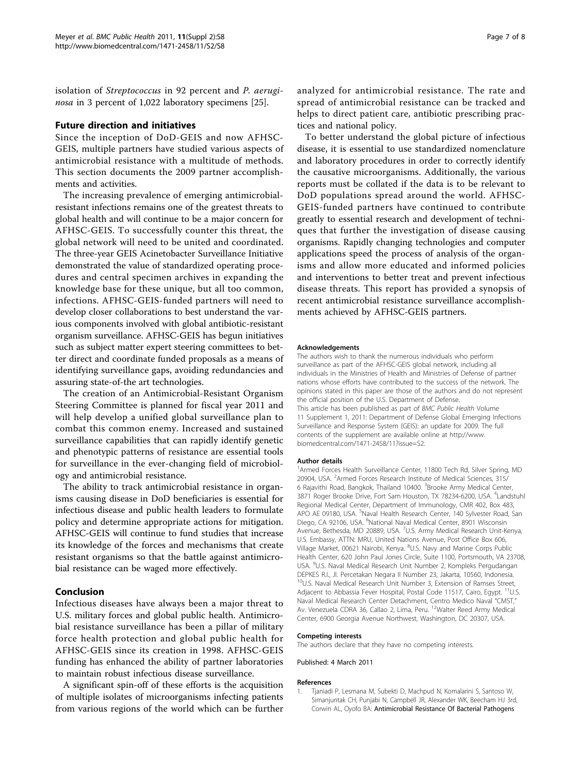<span id="page-6-0"></span>isolation of Streptococcus in 92 percent and P. aerugi-nosa in 3 percent of 1,022 laboratory specimens [[25](#page-7-0)].

### Future direction and initiatives

Since the inception of DoD-GEIS and now AFHSC-GEIS, multiple partners have studied various aspects of antimicrobial resistance with a multitude of methods. This section documents the 2009 partner accomplishments and activities.

The increasing prevalence of emerging antimicrobialresistant infections remains one of the greatest threats to global health and will continue to be a major concern for AFHSC-GEIS. To successfully counter this threat, the global network will need to be united and coordinated. The three-year GEIS Acinetobacter Surveillance Initiative demonstrated the value of standardized operating procedures and central specimen archives in expanding the knowledge base for these unique, but all too common, infections. AFHSC-GEIS-funded partners will need to develop closer collaborations to best understand the various components involved with global antibiotic-resistant organism surveillance. AFHSC-GEIS has begun initiatives such as subject matter expert steering committees to better direct and coordinate funded proposals as a means of identifying surveillance gaps, avoiding redundancies and assuring state-of-the art technologies.

The creation of an Antimicrobial-Resistant Organism Steering Committee is planned for fiscal year 2011 and will help develop a unified global surveillance plan to combat this common enemy. Increased and sustained surveillance capabilities that can rapidly identify genetic and phenotypic patterns of resistance are essential tools for surveillance in the ever-changing field of microbiology and antimicrobial resistance.

The ability to track antimicrobial resistance in organisms causing disease in DoD beneficiaries is essential for infectious disease and public health leaders to formulate policy and determine appropriate actions for mitigation. AFHSC-GEIS will continue to fund studies that increase its knowledge of the forces and mechanisms that create resistant organisms so that the battle against antimicrobial resistance can be waged more effectively.

### Conclusion

Infectious diseases have always been a major threat to U.S. military forces and global public health. Antimicrobial resistance surveillance has been a pillar of military force health protection and global public health for AFHSC-GEIS since its creation in 1998. AFHSC-GEIS funding has enhanced the ability of partner laboratories to maintain robust infectious disease surveillance.

A significant spin-off of these efforts is the acquisition of multiple isolates of microorganisms infecting patients from various regions of the world which can be further analyzed for antimicrobial resistance. The rate and spread of antimicrobial resistance can be tracked and helps to direct patient care, antibiotic prescribing practices and national policy.

To better understand the global picture of infectious disease, it is essential to use standardized nomenclature and laboratory procedures in order to correctly identify the causative microorganisms. Additionally, the various reports must be collated if the data is to be relevant to DoD populations spread around the world. AFHSC-GEIS-funded partners have continued to contribute greatly to essential research and development of techniques that further the investigation of disease causing organisms. Rapidly changing technologies and computer applications speed the process of analysis of the organisms and allow more educated and informed policies and interventions to better treat and prevent infectious disease threats. This report has provided a synopsis of recent antimicrobial resistance surveillance accomplishments achieved by AFHSC-GEIS partners.

#### Acknowledgements

The authors wish to thank the numerous individuals who perform surveillance as part of the AFHSC-GEIS global network, including all individuals in the Ministries of Health and Ministries of Defense of partner nations whose efforts have contributed to the success of the network. The opinions stated in this paper are those of the authors and do not represent the official position of the U.S. Department of Defense. This article has been published as part of BMC Public Health Volume 11 Supplement 1, 2011: Department of Defense Global Emerging Infections Surveillance and Response System (GEIS): an update for 2009. The full contents of the supplement are available online at [http://www.](http://www.biomedcentral.com/1471-2458/11?issue=S2) [biomedcentral.com/1471-2458/11?issue=S2.](http://www.biomedcentral.com/1471-2458/11?issue=S2)

#### Author details

<sup>1</sup> Armed Forces Health Surveillance Center, 11800 Tech Rd, Silver Spring, MD 20904, USA. <sup>2</sup> Armed Forces Research Institute of Medical Sciences, 315/ 6 Rajavithi Road, Bangkok, Thailand 10400. <sup>3</sup> Brooke Army Medical Center, 3871 Roger Brooke Drive, Fort Sam Houston, TX 78234-6200, USA. <sup>4</sup>Landstuhl Regional Medical Center, Department of Immunology, CMR 402, Box 483, APO AE 09180, USA. <sup>5</sup>Naval Health Research Center, 140 Sylvester Road, San Diego, CA 92106, USA. <sup>6</sup>National Naval Medical Center, 8901 Wisconsin Avenue, Bethesda, MD 20889, USA. <sup>7</sup>U.S. Army Medical Research Unit-Kenya U.S. Embassy, ATTN: MRU, United Nations Avenue, Post Office Box 606, Village Market, 00621 Nairobi, Kenya. <sup>8</sup>U.S. Navy and Marine Corps Public Health Center, 620 John Paul Jones Circle, Suite 1100, Portsmouth, VA 23708, USA. <sup>9</sup>U.S. Naval Medical Research Unit Number 2, Kompleks Pergudangan DEPKES R.I., JI. Percetakan Negara II Number 23, Jakarta, 10560, Indonesia. <sup>10</sup>U.S. Naval Medical Research Unit Number 3, Extension of Ramses Street, Adjacent to Abbassia Fever Hospital, Postal Code 11517, Cairo, Egypt. <sup>11</sup>U.S. Naval Medical Research Center Detachment, Centro Medico Naval "CMST," Av. Venezuela CDRA 36, Callao 2, Lima, Peru. <sup>12</sup>Walter Reed Army Medical Center, 6900 Georgia Avenue Northwest, Washington, DC 20307, USA.

#### Competing interests

The authors declare that they have no competing interests.

Published: 4 March 2011

#### References

1. Tjaniadi P, Lesmana M, Subekti D, Machpud N, Komalarini S, Santoso W, Simanjuntak CH, Punjabi N, Campbell JR, Alexander WK, Beecham HJ 3rd, Corwin AL, Oyofo BA: [Antimicrobial Resistance Of Bacterial Pathogens](http://www.ncbi.nlm.nih.gov/pubmed/12887025?dopt=Abstract)